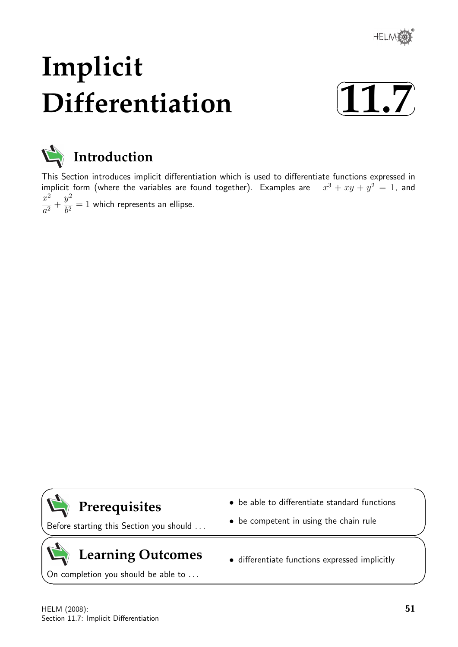

# **Implicit Differentiation**





This Section introduces implicit differentiation which is used to differentiate functions expressed in implicit form (where the variables are found together). Examples are  $3 + xy + y^2 = 1$ , and  $x^2$  $\frac{a}{a^2}$  +  $y^2$  $\frac{b^2}{b^2} = 1$  which represents an ellipse.



Before starting this Section you should . . .

## **Learning Outcomes**

On completion you should be able to ...

• be able to differentiate standard functions

• differentiate functions expressed implicitly

• be competent in using the chain rule

HELM (2008): Section 11.7: Implicit Differentiation

 $\overline{\phantom{0}}$ 

 $\geq$ 

 $\geq$ 

 $\overline{\phantom{0}}$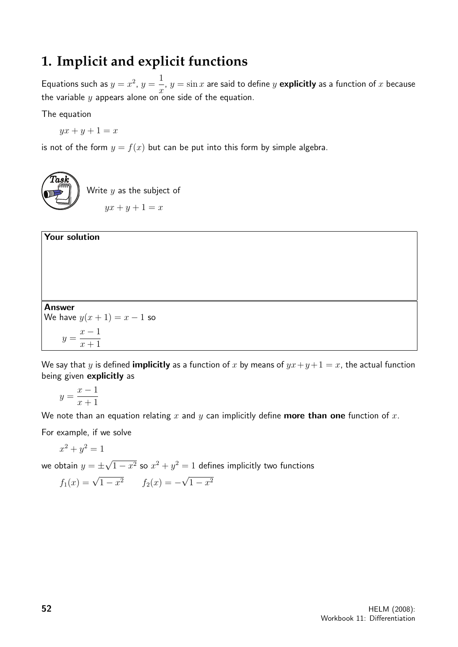## **1. Implicit and explicit functions**

Equations such as  $y = x^2$ ,  $y =$ 1  $\overline{x}$ ,  $y = \sin x$  are said to define y explicitly as a function of x because the variable y appears alone on one side of the equation.

The equation

Your solution

 $yx + y + 1 = x$ 

is not of the form  $y = f(x)$  but can be put into this form by simple algebra.



## Answer We have  $y(x + 1) = x - 1$  so  $y =$  $x - 1$  $x + 1$

We say that y is defined **implicitly** as a function of x by means of  $yx+y+1 = x$ , the actual function being given explicitly as

$$
y = \frac{x-1}{x+1}
$$

We note than an equation relating x and y can implicitly define **more than one** function of x.

For example, if we solve

$$
x^2 + y^2 = 1
$$

we obtain  $y=\pm$ √  $\overline{1-x^2}$  so  $x^2+y^2=1$  defines implicitly two functions

$$
f_1(x) = \sqrt{1 - x^2}
$$
  $f_2(x) = -\sqrt{1 - x^2}$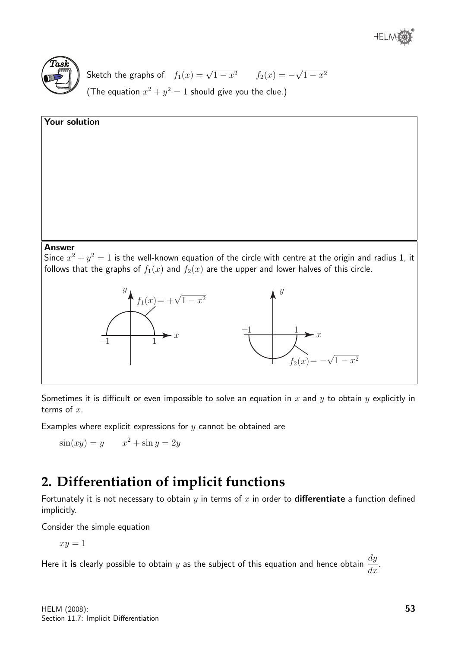



Sketch the graphs of  $f_1(x) = \sqrt{1-x^2}$   $f_2(x) = -$ √  $1 - x^2$ (The equation  $x^2 + y^2 = 1$  should give you the clue.)

## Your solution

#### Answer

Since  $x^2 + y^2 = 1$  is the well-known equation of the circle with centre at the origin and radius 1, it follows that the graphs of  $f_1(x)$  and  $f_2(x)$  are the upper and lower halves of this circle.



Sometimes it is difficult or even impossible to solve an equation in x and y to obtain y explicitly in terms of  $x$ .

Examples where explicit expressions for  $y$  cannot be obtained are

$$
\sin(xy) = y \qquad x^2 + \sin y = 2y
$$

## **2. Differentiation of implicit functions**

Fortunately it is not necessary to obtain  $y$  in terms of  $x$  in order to **differentiate** a function defined implicitly.

Consider the simple equation

 $xy = 1$ 

Here it **is** clearly possible to obtain  $y$  as the subject of this equation and hence obtain  $\frac{dy}{dx}$  $\frac{dy}{dx}$ .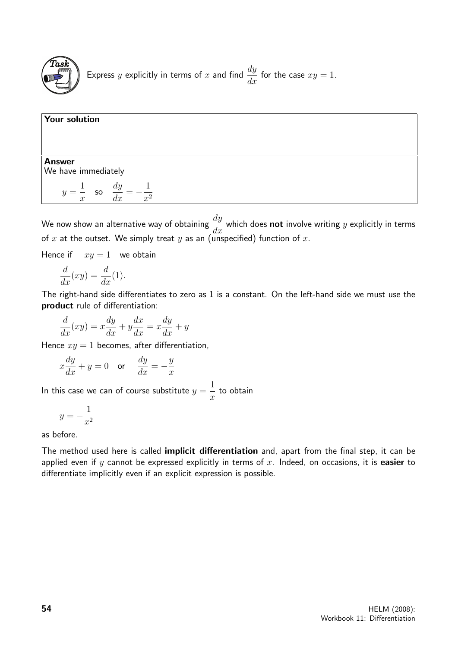

### Your solution

Answer We have immediately

$$
y = \frac{1}{x} \quad \text{so} \quad \frac{dy}{dx} = -\frac{1}{x^2}
$$

We now show an alternative way of obtaining  $\frac{dy}{d\theta}$  $\frac{dy}{dx}$  which does **not** involve writing y explicitly in terms of x at the outset. We simply treat y as an (unspecified) function of x.

Hence if  $xy = 1$  we obtain

$$
\frac{d}{dx}(xy) = \frac{d}{dx}(1).
$$

The right-hand side differentiates to zero as 1 is a constant. On the left-hand side we must use the product rule of differentiation:

$$
\frac{d}{dx}(xy) = x\frac{dy}{dx} + y\frac{dx}{dx} = x\frac{dy}{dx} + y
$$

Hence  $xy = 1$  becomes, after differentiation,

$$
x\frac{dy}{dx} + y = 0 \quad \text{or} \quad \frac{dy}{dx} = -\frac{y}{x}
$$

In this case we can of course substitute  $y =$ 1  $\boldsymbol{x}$ to obtain

$$
y = -\frac{1}{x^2}
$$

as before.

The method used here is called *implicit differentiation* and, apart from the final step, it can be applied even if y cannot be expressed explicitly in terms of  $x$ . Indeed, on occasions, it is easier to differentiate implicitly even if an explicit expression is possible.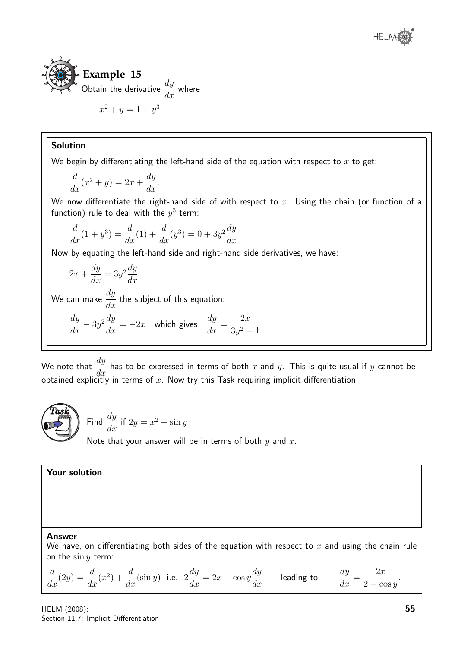

## Solution

We begin by differentiating the left-hand side of the equation with respect to  $x$  to get:

$$
\frac{d}{dx}(x^2 + y) = 2x + \frac{dy}{dx}.
$$

We now differentiate the right-hand side of with respect to  $x$ . Using the chain (or function of a function) rule to deal with the  $y^3$  term:

$$
\frac{d}{dx}(1+y^3) = \frac{d}{dx}(1) + \frac{d}{dx}(y^3) = 0 + 3y^2 \frac{dy}{dx}
$$

Now by equating the left-hand side and right-hand side derivatives, we have:

$$
2x + \frac{dy}{dx} = 3y^2 \frac{dy}{dx}
$$

We can make  $\frac{dy}{dt}$  $\frac{dy}{dx}$  the subject of this equation:

$$
\frac{dy}{dx} - 3y^2 \frac{dy}{dx} = -2x \quad \text{which gives} \quad \frac{dy}{dx} = \frac{2x}{3y^2 - 1}
$$

We note that  $\frac{dy}{dt}$  $\frac{dy}{dx}$  has to be expressed in terms of both x and y. This is quite usual if y cannot be obtained explicitly in terms of  $x$ . Now try this Task requiring implicit differentiation.



Find  $\frac{dy}{dx}$  $\frac{dy}{dx}$  if  $2y = x^2 + \sin y$ Note that your answer will be in terms of both  $y$  and  $x$ .

Your solution

#### Answer

We have, on differentiating both sides of the equation with respect to  $x$  and using the chain rule on the  $\sin y$  term:

$$
\frac{d}{dx}(2y) = \frac{d}{dx}(x^2) + \frac{d}{dx}(\sin y)
$$
 i.e.  $2\frac{dy}{dx} = 2x + \cos y \frac{dy}{dx}$  leading to  $\frac{dy}{dx} = \frac{2x}{2 - \cos y}$ .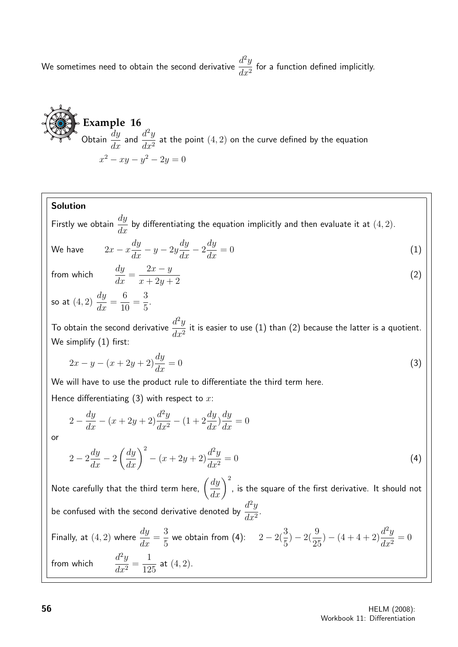We sometimes need to obtain the second derivative  $\frac{d^2y}{dx^2}$  $\frac{d^{2}y}{dx^{2}}$  for a function defined implicitly.

**Example 16**  
\nObtain 
$$
\frac{dy}{dx}
$$
 and  $\frac{d^2y}{dx^2}$  at the point (4, 2) on the curve defined by the equation  $x^2 - xy - y^2 - 2y = 0$ 

## Solution

Firstly we obtain  $\frac{dy}{dx}$  $\frac{dy}{dx}$  by differentiating the equation implicitly and then evaluate it at  $(4,2)$ .

We have 
$$
2x - x\frac{dy}{dx} - y - 2y\frac{dy}{dx} - 2\frac{dy}{dx} = 0
$$
 (1)

from whic

$$
h \qquad \frac{dy}{dx} = \frac{2x - y}{x + 2y + 2} \tag{2}
$$

so at  $(4,2)\,\frac{dy}{dx}$  $\frac{dy}{dx} =$ 6 10 = 3 5 .

To obtain the second derivative  $\frac{d^2y}{dx^2}$  $\frac{d^2y}{dx^2}$  it is easier to use (1) than (2) because the latter is a quotient. We simplify (1) first:

$$
2x - y - (x + 2y + 2)\frac{dy}{dx} = 0
$$
\n(3)

We will have to use the product rule to differentiate the third term here.

Hence differentiating  $(3)$  with respect to x:

$$
2 - \frac{dy}{dx} - (x + 2y + 2)\frac{d^2y}{dx^2} - (1 + 2\frac{dy}{dx})\frac{dy}{dx} = 0
$$

or

$$
2 - 2\frac{dy}{dx} - 2\left(\frac{dy}{dx}\right)^2 - (x + 2y + 2)\frac{d^2y}{dx^2} = 0\tag{4}
$$

Note carefully that the third term here,  $\displaystyle{\left(\frac{dy}{dx}\right)^2}$ , is the square of the first derivative. It should not be confused with the second derivative denoted by  $\frac{d^2y}{dx^2}$  $\frac{d}{dx^2}$ 

Finally, at (4, 2) where 
$$
\frac{dy}{dx} = \frac{3}{5}
$$
 we obtain from (4):  $2 - 2(\frac{3}{5}) - 2(\frac{9}{25}) - (4 + 4 + 2)\frac{d^2y}{dx^2} = 0$   
from which  $\frac{d^2y}{dx^2} = \frac{1}{125}$  at (4, 2).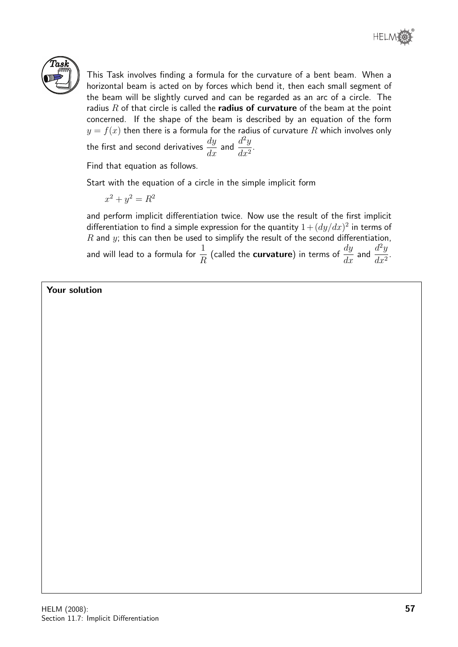



This Task involves finding a formula for the curvature of a bent beam. When a horizontal beam is acted on by forces which bend it, then each small segment of the beam will be slightly curved and can be regarded as an arc of a circle. The radius  $R$  of that circle is called the radius of curvature of the beam at the point concerned. If the shape of the beam is described by an equation of the form  $y = f(x)$  then there is a formula for the radius of curvature  $R$  which involves only the first and second derivatives  $\displaystyle{\frac{dy}{dx}}$  and  $\displaystyle{\frac{d^2y}{dx^2}}$  $\frac{d}{dx^2}$ 

Find that equation as follows.

Start with the equation of a circle in the simple implicit form

 $x^2 + y^2 = R^2$ 

and perform implicit differentiation twice. Now use the result of the first implicit differentiation to find a simple expression for the quantity  $1 + (dy/dx)^2$  in terms of  $R$  and  $y$ ; this can then be used to simplify the result of the second differentiation. and will lead to a formula for  $\frac{1}{\tau}$ R (called the **curvature**) in terms of  $\frac{dy}{dx}$  and  $\frac{d^2y}{dx^2}$  $\frac{d^2y}{dx^2}.$ 

Your solution